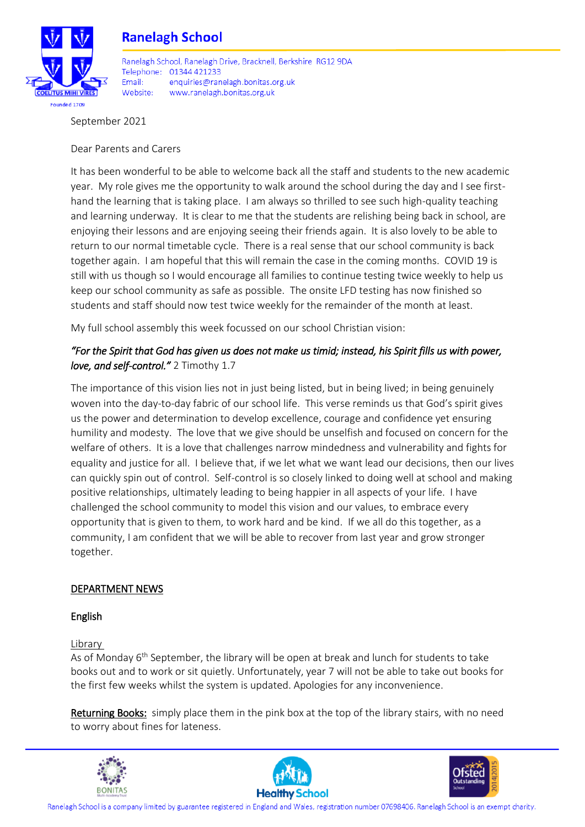

# **Ranelagh School**

Ranelagh School, Ranelagh Drive, Bracknell, Berkshire, RG12 9DA Telephone: 01344 421233 Fmail: enquiries@ranelagh.bonitas.org.uk Website: www.ranelagh.bonitas.org.uk

September 2021

Dear Parents and Carers

It has been wonderful to be able to welcome back all the staff and students to the new academic year. My role gives me the opportunity to walk around the school during the day and I see firsthand the learning that is taking place. I am always so thrilled to see such high-quality teaching and learning underway. It is clear to me that the students are relishing being back in school, are enjoying their lessons and are enjoying seeing their friends again. It is also lovely to be able to return to our normal timetable cycle. There is a real sense that our school community is back together again. I am hopeful that this will remain the case in the coming months. COVID 19 is still with us though so I would encourage all families to continue testing twice weekly to help us keep our school community as safe as possible. The onsite LFD testing has now finished so students and staff should now test twice weekly for the remainder of the month at least.

My full school assembly this week focussed on our school Christian vision:

# *"For the Spirit that God has given us does not make us timid; instead, his Spirit fills us with power, love, and self-control."* 2 Timothy 1.7

The importance of this vision lies not in just being listed, but in being lived; in being genuinely woven into the day-to-day fabric of our school life. This verse reminds us that God's spirit gives us the power and determination to develop excellence, courage and confidence yet ensuring humility and modesty. The love that we give should be unselfish and focused on concern for the welfare of others. It is a love that challenges narrow mindedness and vulnerability and fights for equality and justice for all. I believe that, if we let what we want lead our decisions, then our lives can quickly spin out of control. Self-control is so closely linked to doing well at school and making positive relationships, ultimately leading to being happier in all aspects of your life. I have challenged the school community to model this vision and our values, to embrace every opportunity that is given to them, to work hard and be kind. If we all do this together, as a community, I am confident that we will be able to recover from last year and grow stronger together.

## DEPARTMENT NEWS

## English

Library

As of Monday  $6<sup>th</sup>$  September, the library will be open at break and lunch for students to take books out and to work or sit quietly. Unfortunately, year 7 will not be able to take out books for the first few weeks whilst the system is updated. Apologies for any inconvenience.

Returning Books: simply place them in the pink box at the top of the library stairs, with no need to worry about fines for lateness.







Ranelagh School is a company limited by guarantee registered in England and Wales, registration number 07698406. Ranelagh School is an exempt charity.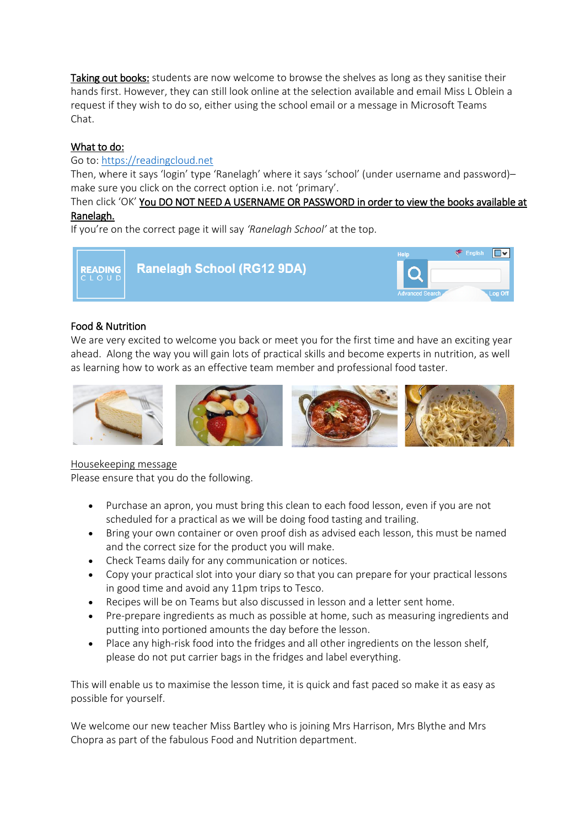Taking out books: students are now welcome to browse the shelves as long as they sanitise their hands first. However, they can still look online at the selection available and email Miss L Oblein a request if they wish to do so, either using the school email or a message in Microsoft Teams Chat.

## What to do:

## Go to: [https://readingcloud.net](https://readingcloud.net/)

Then, where it says 'login' type 'Ranelagh' where it says 'school' (under username and password)make sure you click on the correct option i.e. not 'primary'.

## Then click 'OK' You DO NOT NEED A USERNAME OR PASSWORD in order to view the books available at Ranelagh.

If you're on the correct page it will say *'Ranelagh School'* at the top.



## Food & Nutrition

We are very excited to welcome you back or meet you for the first time and have an exciting year ahead. Along the way you will gain lots of practical skills and become experts in nutrition, as well as learning how to work as an effective team member and professional food taster.



## Housekeeping message

Please ensure that you do the following.

- Purchase an apron, you must bring this clean to each food lesson, even if you are not scheduled for a practical as we will be doing food tasting and trailing.
- Bring your own container or oven proof dish as advised each lesson, this must be named and the correct size for the product you will make.
- Check Teams daily for any communication or notices.
- Copy your practical slot into your diary so that you can prepare for your practical lessons in good time and avoid any 11pm trips to Tesco.
- Recipes will be on Teams but also discussed in lesson and a letter sent home.
- Pre-prepare ingredients as much as possible at home, such as measuring ingredients and putting into portioned amounts the day before the lesson.
- Place any high-risk food into the fridges and all other ingredients on the lesson shelf, please do not put carrier bags in the fridges and label everything.

This will enable us to maximise the lesson time, it is quick and fast paced so make it as easy as possible for yourself.

We welcome our new teacher Miss Bartley who is joining Mrs Harrison, Mrs Blythe and Mrs Chopra as part of the fabulous Food and Nutrition department.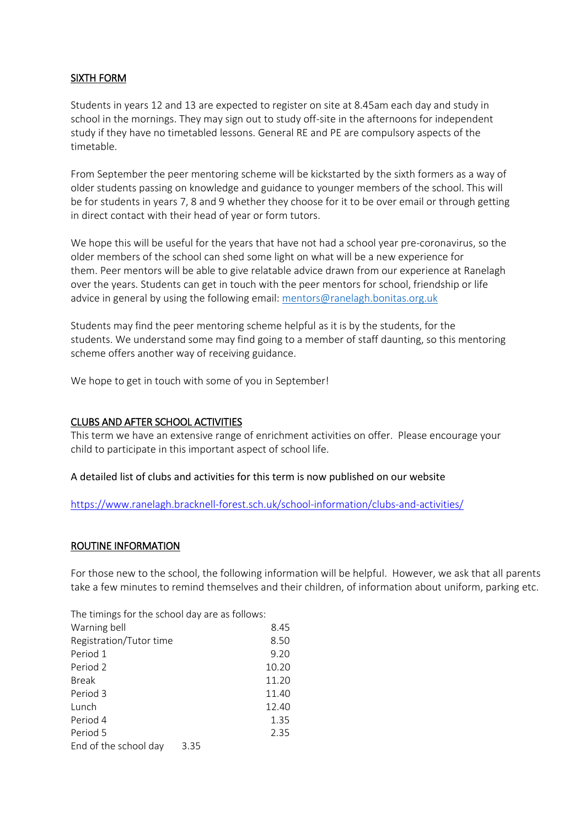#### SIXTH FORM

Students in years 12 and 13 are expected to register on site at 8.45am each day and study in school in the mornings. They may sign out to study off-site in the afternoons for independent study if they have no timetabled lessons. General RE and PE are compulsory aspects of the timetable.

From September the peer mentoring scheme will be kickstarted by the sixth formers as a way of older students passing on knowledge and guidance to younger members of the school. This will be for students in years 7, 8 and 9 whether they choose for it to be over email or through getting in direct contact with their head of year or form tutors.

We hope this will be useful for the years that have not had a school year pre-coronavirus, so the older members of the school can shed some light on what will be a new experience for them. Peer mentors will be able to give relatable advice drawn from our experience at Ranelagh over the years. Students can get in touch with the peer mentors for school, friendship or life advice in general by using the following email: [mentors@ranelagh.bonitas.org.uk](mailto:mentors@ranelagh.bonitas.org.uk)

Students may find the peer mentoring scheme helpful as it is by the students, for the students. We understand some may find going to a member of staff daunting, so this mentoring scheme offers another way of receiving guidance.

We hope to get in touch with some of you in September!

#### CLUBS AND AFTER SCHOOL ACTIVITIES

This term we have an extensive range of enrichment activities on offer. Please encourage your child to participate in this important aspect of school life.

#### A detailed list of clubs and activities for this term is now published on our website

<https://www.ranelagh.bracknell-forest.sch.uk/school-information/clubs-and-activities/>

#### ROUTINE INFORMATION

For those new to the school, the following information will be helpful. However, we ask that all parents take a few minutes to remind themselves and their children, of information about uniform, parking etc.

The timings for the school day are as follows:

| Warning bell            |      | 8.45  |
|-------------------------|------|-------|
| Registration/Tutor time |      | 8.50  |
| Period 1                |      | 9.20  |
| Period 2                |      | 10.20 |
| <b>Break</b>            |      | 11.20 |
| Period 3                |      | 11.40 |
| Lunch                   |      | 12.40 |
| Period 4                |      | 1.35  |
| Period 5                |      | 2.35  |
| End of the school day   | 3.35 |       |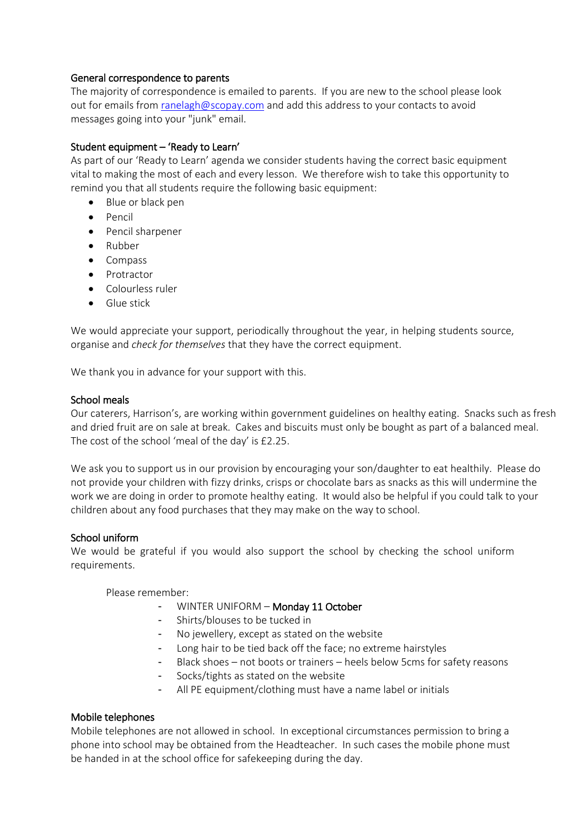#### General correspondence to parents

The majority of correspondence is emailed to parents. If you are new to the school please look out for emails from [ranelagh@scopay.com](mailto:ranelagh@scopay.com) and add this address to your contacts to avoid messages going into your "junk" email.

## Student equipment – 'Ready to Learn'

As part of our 'Ready to Learn' agenda we consider students having the correct basic equipment vital to making the most of each and every lesson. We therefore wish to take this opportunity to remind you that all students require the following basic equipment:

- Blue or black pen
- Pencil
- Pencil sharpener
- Rubber
- Compass
- Protractor
- Colourless ruler
- Glue stick

We would appreciate your support, periodically throughout the year, in helping students source, organise and *check for themselves* that they have the correct equipment.

We thank you in advance for your support with this.

#### School meals

Our caterers, Harrison's, are working within government guidelines on healthy eating. Snacks such as fresh and dried fruit are on sale at break. Cakes and biscuits must only be bought as part of a balanced meal. The cost of the school 'meal of the day' is £2.25.

We ask you to support us in our provision by encouraging your son/daughter to eat healthily. Please do not provide your children with fizzy drinks, crisps or chocolate bars as snacks as this will undermine the work we are doing in order to promote healthy eating. It would also be helpful if you could talk to your children about any food purchases that they may make on the way to school.

#### School uniform

We would be grateful if you would also support the school by checking the school uniform requirements.

Please remember:

- WINTER UNIFORM Monday 11 October
- Shirts/blouses to be tucked in
- No jewellery, except as stated on the website
- Long hair to be tied back off the face; no extreme hairstyles
- Black shoes not boots or trainers heels below 5cms for safety reasons
- Socks/tights as stated on the website
- All PE equipment/clothing must have a name label or initials

#### Mobile telephones

Mobile telephones are not allowed in school. In exceptional circumstances permission to bring a phone into school may be obtained from the Headteacher. In such cases the mobile phone must be handed in at the school office for safekeeping during the day.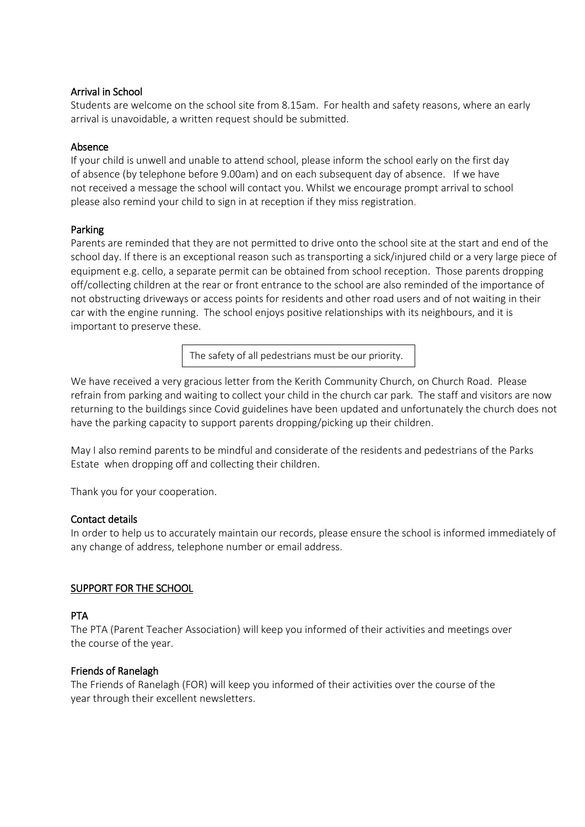#### Arrival in School

Students are welcome on the school site from 8.15am. For health and safety reasons, where an early arrival is unavoidable, a written request should be submitted.

## Absence

If your child is unwell and unable to attend school, please inform the school early on the first day of absence (by telephone before 9.00am) and on each subsequent day of absence. If we have not received a message the school will contact you. Whilst we encourage prompt arrival to school please also remind your child to sign in at reception if they miss registration.

## Parking

Parents are reminded that they are not permitted to drive onto the school site at the start and end of the school day. If there is an exceptional reason such as transporting a sick/injured child or a very large piece of equipment e.g. cello, a separate permit can be obtained from school reception. Those parents dropping off/collecting children at the rear or front entrance to the school are also reminded of the importance of not obstructing driveways or access points for residents and other road users and of not waiting in their car with the engine running. The school enjoys positive relationships with its neighbours, and it is important to preserve these.

The safety of all pedestrians must be our priority.

We have received a very gracious letter from the Kerith Community Church, on Church Road. Please refrain from parking and waiting to collect your child in the church car park. The staff and visitors are now returning to the buildings since Covid guidelines have been updated and unfortunately the church does not have the parking capacity to support parents dropping/picking up their children.

May I also remind parents to be mindful and considerate of the residents and pedestrians of the Parks Estate when dropping off and collecting their children.

Thank you for your cooperation.

#### Contact details

In order to help us to accurately maintain our records, please ensure the school is informed immediately of any change of address, telephone number or email address.

## SUPPORT FOR THE SCHOOL

#### PTA

The PTA (Parent Teacher Association) will keep you informed of their activities and meetings over the course of the year.

#### Friends of Ranelagh

The Friends of Ranelagh (FOR) will keep you informed of their activities over the course of the year through their excellent newsletters.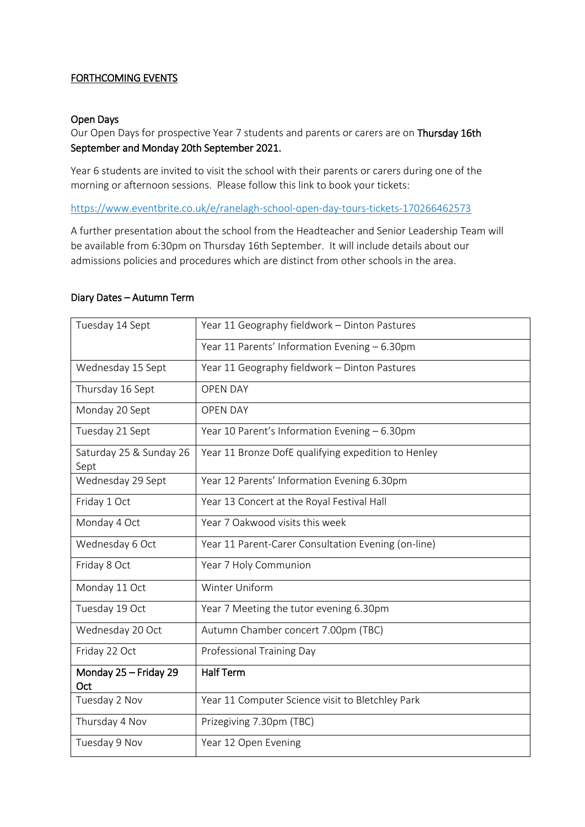## FORTHCOMING EVENTS

#### Open Days

Our Open Days for prospective Year 7 students and parents or carers are on Thursday 16th September and Monday 20th September 2021.

Year 6 students are invited to visit the school with their parents or carers during one of the morning or afternoon sessions. Please follow this link to book your tickets:

<https://www.eventbrite.co.uk/e/ranelagh-school-open-day-tours-tickets-170266462573>

A further presentation about the school from the Headteacher and Senior Leadership Team will be available from 6:30pm on Thursday 16th September. It will include details about our admissions policies and procedures which are distinct from other schools in the area.

#### Diary Dates – Autumn Term

| Tuesday 14 Sept                 | Year 11 Geography fieldwork - Dinton Pastures       |
|---------------------------------|-----------------------------------------------------|
|                                 | Year 11 Parents' Information Evening - 6.30pm       |
| Wednesday 15 Sept               | Year 11 Geography fieldwork - Dinton Pastures       |
| Thursday 16 Sept                | <b>OPEN DAY</b>                                     |
| Monday 20 Sept                  | <b>OPEN DAY</b>                                     |
| Tuesday 21 Sept                 | Year 10 Parent's Information Evening - 6.30pm       |
| Saturday 25 & Sunday 26<br>Sept | Year 11 Bronze DofE qualifying expedition to Henley |
| Wednesday 29 Sept               | Year 12 Parents' Information Evening 6.30pm         |
| Friday 1 Oct                    | Year 13 Concert at the Royal Festival Hall          |
| Monday 4 Oct                    | Year 7 Oakwood visits this week                     |
| Wednesday 6 Oct                 | Year 11 Parent-Carer Consultation Evening (on-line) |
| Friday 8 Oct                    | Year 7 Holy Communion                               |
| Monday 11 Oct                   | Winter Uniform                                      |
| Tuesday 19 Oct                  | Year 7 Meeting the tutor evening 6.30pm             |
| Wednesday 20 Oct                | Autumn Chamber concert 7.00pm (TBC)                 |
| Friday 22 Oct                   | Professional Training Day                           |
| Monday 25 - Friday 29<br>Oct    | <b>Half Term</b>                                    |
| Tuesday 2 Nov                   | Year 11 Computer Science visit to Bletchley Park    |
| Thursday 4 Nov                  | Prizegiving 7.30pm (TBC)                            |
| Tuesday 9 Nov                   | Year 12 Open Evening                                |